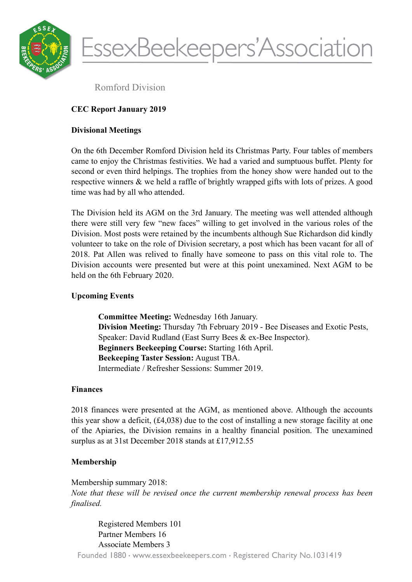

EssexBeekeepers'Association

Romford Division

# **CEC Report January 2019**

## **Divisional Meetings**

On the 6th December Romford Division held its Christmas Party. Four tables of members came to enjoy the Christmas festivities. We had a varied and sumptuous buffet. Plenty for second or even third helpings. The trophies from the honey show were handed out to the respective winners & we held a raffle of brightly wrapped gifts with lots of prizes. A good time was had by all who attended.

The Division held its AGM on the 3rd January. The meeting was well attended although there were still very few "new faces" willing to get involved in the various roles of the Division. Most posts were retained by the incumbents although Sue Richardson did kindly volunteer to take on the role of Division secretary, a post which has been vacant for all of 2018. Pat Allen was relived to finally have someone to pass on this vital role to. The Division accounts were presented but were at this point unexamined. Next AGM to be held on the 6th February 2020.

# **Upcoming Events**

**Committee Meeting:** Wednesday 16th January. **Division Meeting:** Thursday 7th February 2019 - Bee Diseases and Exotic Pests, Speaker: David Rudland (East Surry Bees & ex-Bee Inspector). **Beginners Beekeeping Course:** Starting 16th April. **Beekeeping Taster Session:** August TBA. Intermediate / Refresher Sessions: Summer 2019.

## **Finances**

2018 finances were presented at the AGM, as mentioned above. Although the accounts this year show a deficit, (£4,038) due to the cost of installing a new storage facility at one of the Apiaries, the Division remains in a healthy financial position. The unexamined surplus as at 31st December 2018 stands at £17,912.55

# **Membership**

Membership summary 2018: *Note that these will be revised once the current membership renewal process has been finalised.* 

Registered Members 101 Partner Members 16 Associate Members 3 Founded 1880 · www.essexbeekeepers.com · Registered Charity No.1031419